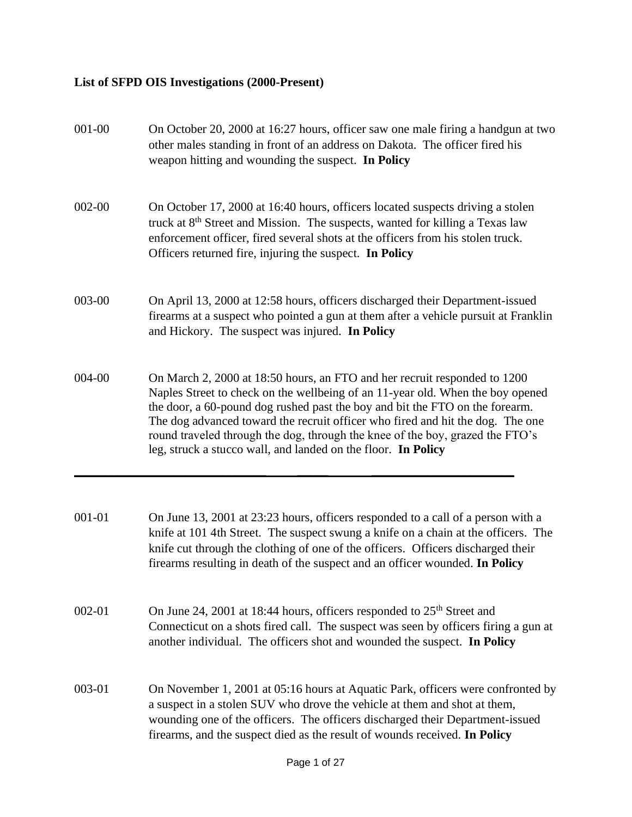## **List of SFPD OIS Investigations (2000-Present)**

| 001-00     | On October 20, 2000 at 16:27 hours, officer saw one male firing a handgun at two<br>other males standing in front of an address on Dakota. The officer fired his<br>weapon hitting and wounding the suspect. In Policy                                                                                                                                                                                                                                                          |
|------------|---------------------------------------------------------------------------------------------------------------------------------------------------------------------------------------------------------------------------------------------------------------------------------------------------------------------------------------------------------------------------------------------------------------------------------------------------------------------------------|
| 002-00     | On October 17, 2000 at 16:40 hours, officers located suspects driving a stolen<br>truck at 8 <sup>th</sup> Street and Mission. The suspects, wanted for killing a Texas law<br>enforcement officer, fired several shots at the officers from his stolen truck.<br>Officers returned fire, injuring the suspect. In Policy                                                                                                                                                       |
| 003-00     | On April 13, 2000 at 12:58 hours, officers discharged their Department-issued<br>firearms at a suspect who pointed a gun at them after a vehicle pursuit at Franklin<br>and Hickory. The suspect was injured. In Policy                                                                                                                                                                                                                                                         |
| 004-00     | On March 2, 2000 at 18:50 hours, an FTO and her recruit responded to 1200<br>Naples Street to check on the wellbeing of an 11-year old. When the boy opened<br>the door, a 60-pound dog rushed past the boy and bit the FTO on the forearm.<br>The dog advanced toward the recruit officer who fired and hit the dog. The one<br>round traveled through the dog, through the knee of the boy, grazed the FTO's<br>leg, struck a stucco wall, and landed on the floor. In Policy |
| 001-01     | On June 13, 2001 at 23:23 hours, officers responded to a call of a person with a<br>knife at 101 4th Street. The suspect swung a knife on a chain at the officers. The<br>knife cut through the clothing of one of the officers. Officers discharged their<br>firearms resulting in death of the suspect and an officer wounded. In Policy                                                                                                                                      |
| $002 - 01$ | On June 24, 2001 at 18:44 hours, officers responded to 25 <sup>th</sup> Street and<br>Connecticut on a shots fired call. The suspect was seen by officers firing a gun at<br>another individual. The officers shot and wounded the suspect. In Policy                                                                                                                                                                                                                           |
| 003-01     | On November 1, 2001 at 05:16 hours at Aquatic Park, officers were confronted by<br>a suspect in a stolen SUV who drove the vehicle at them and shot at them,<br>wounding one of the officers. The officers discharged their Department-issued<br>firearms, and the suspect died as the result of wounds received. In Policy                                                                                                                                                     |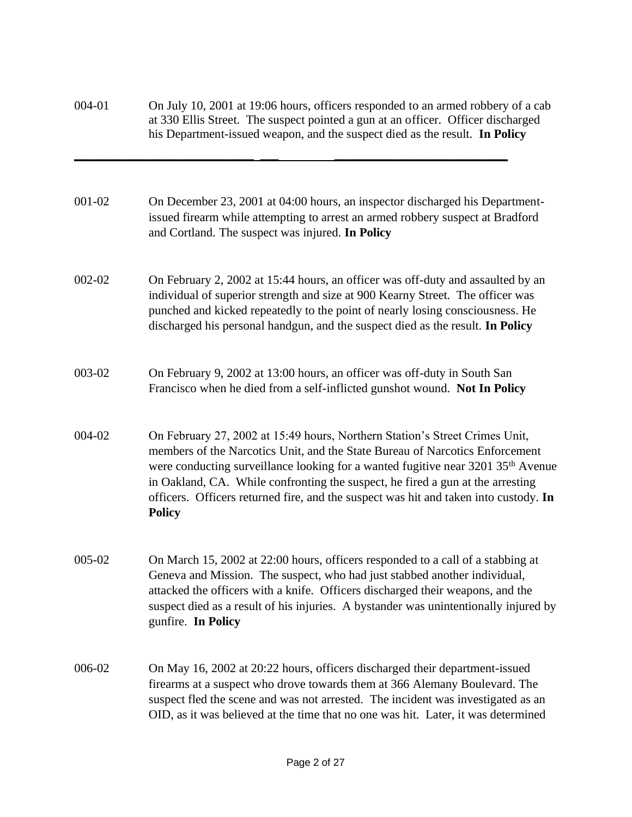| 004-01 | On July 10, 2001 at 19:06 hours, officers responded to an armed robbery of a cab<br>at 330 Ellis Street. The suspect pointed a gun at an officer. Officer discharged<br>his Department-issued weapon, and the suspect died as the result. In Policy                                                                                                                                                                                                    |
|--------|--------------------------------------------------------------------------------------------------------------------------------------------------------------------------------------------------------------------------------------------------------------------------------------------------------------------------------------------------------------------------------------------------------------------------------------------------------|
| 001-02 | On December 23, 2001 at 04:00 hours, an inspector discharged his Department-<br>issued firearm while attempting to arrest an armed robbery suspect at Bradford<br>and Cortland. The suspect was injured. In Policy                                                                                                                                                                                                                                     |
| 002-02 | On February 2, 2002 at 15:44 hours, an officer was off-duty and assaulted by an<br>individual of superior strength and size at 900 Kearny Street. The officer was<br>punched and kicked repeatedly to the point of nearly losing consciousness. He<br>discharged his personal handgun, and the suspect died as the result. In Policy                                                                                                                   |
| 003-02 | On February 9, 2002 at 13:00 hours, an officer was off-duty in South San<br>Francisco when he died from a self-inflicted gunshot wound. Not In Policy                                                                                                                                                                                                                                                                                                  |
| 004-02 | On February 27, 2002 at 15:49 hours, Northern Station's Street Crimes Unit,<br>members of the Narcotics Unit, and the State Bureau of Narcotics Enforcement<br>were conducting surveillance looking for a wanted fugitive near 3201 35 <sup>th</sup> Avenue<br>in Oakland, CA. While confronting the suspect, he fired a gun at the arresting<br>officers. Officers returned fire, and the suspect was hit and taken into custody. In<br><b>Policy</b> |
| 005-02 | On March 15, 2002 at 22:00 hours, officers responded to a call of a stabbing at<br>Geneva and Mission. The suspect, who had just stabbed another individual,<br>attacked the officers with a knife. Officers discharged their weapons, and the<br>suspect died as a result of his injuries. A bystander was unintentionally injured by<br>gunfire. In Policy                                                                                           |
| 006-02 | On May 16, 2002 at 20:22 hours, officers discharged their department-issued<br>firearms at a suspect who drove towards them at 366 Alemany Boulevard. The<br>suspect fled the scene and was not arrested. The incident was investigated as an<br>OID, as it was believed at the time that no one was hit. Later, it was determined                                                                                                                     |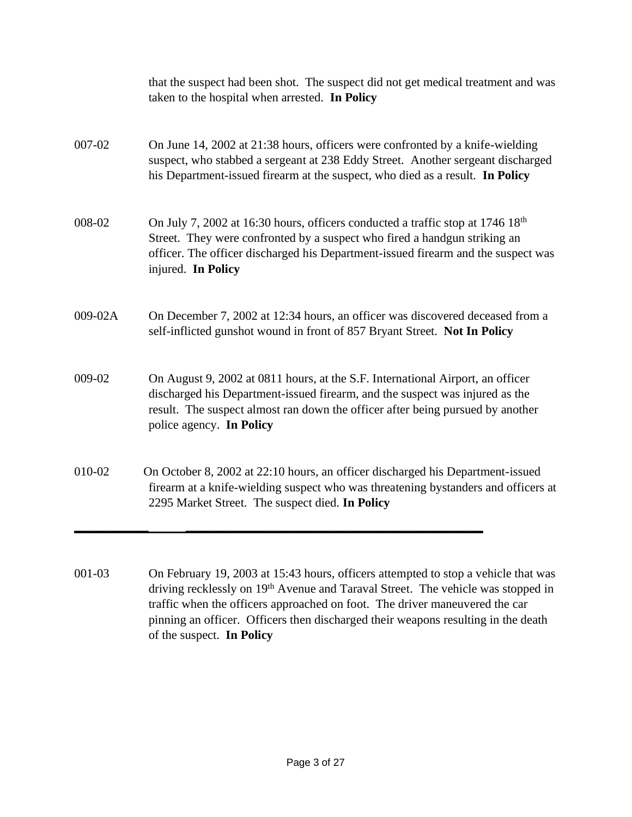|         | that the suspect had been shot. The suspect did not get medical treatment and was<br>taken to the hospital when arrested. In Policy                                                                                                                                                |
|---------|------------------------------------------------------------------------------------------------------------------------------------------------------------------------------------------------------------------------------------------------------------------------------------|
| 007-02  | On June 14, 2002 at 21:38 hours, officers were confronted by a knife-wielding<br>suspect, who stabbed a sergeant at 238 Eddy Street. Another sergeant discharged<br>his Department-issued firearm at the suspect, who died as a result. In Policy                                  |
| 008-02  | On July 7, 2002 at 16:30 hours, officers conducted a traffic stop at 1746 18 <sup>th</sup><br>Street. They were confronted by a suspect who fired a handgun striking an<br>officer. The officer discharged his Department-issued firearm and the suspect was<br>injured. In Policy |
| 009-02A | On December 7, 2002 at 12:34 hours, an officer was discovered deceased from a<br>self-inflicted gunshot wound in front of 857 Bryant Street. Not In Policy                                                                                                                         |
| 009-02  | On August 9, 2002 at 0811 hours, at the S.F. International Airport, an officer<br>discharged his Department-issued firearm, and the suspect was injured as the<br>result. The suspect almost ran down the officer after being pursued by another<br>police agency. In Policy       |
| 010-02  | On October 8, 2002 at 22:10 hours, an officer discharged his Department-issued<br>firearm at a knife-wielding suspect who was threatening bystanders and officers at<br>2295 Market Street. The suspect died. In Policy                                                            |
|         |                                                                                                                                                                                                                                                                                    |

001-03 On February 19, 2003 at 15:43 hours, officers attempted to stop a vehicle that was driving recklessly on 19<sup>th</sup> Avenue and Taraval Street. The vehicle was stopped in traffic when the officers approached on foot. The driver maneuvered the car pinning an officer. Officers then discharged their weapons resulting in the death of the suspect. **In Policy**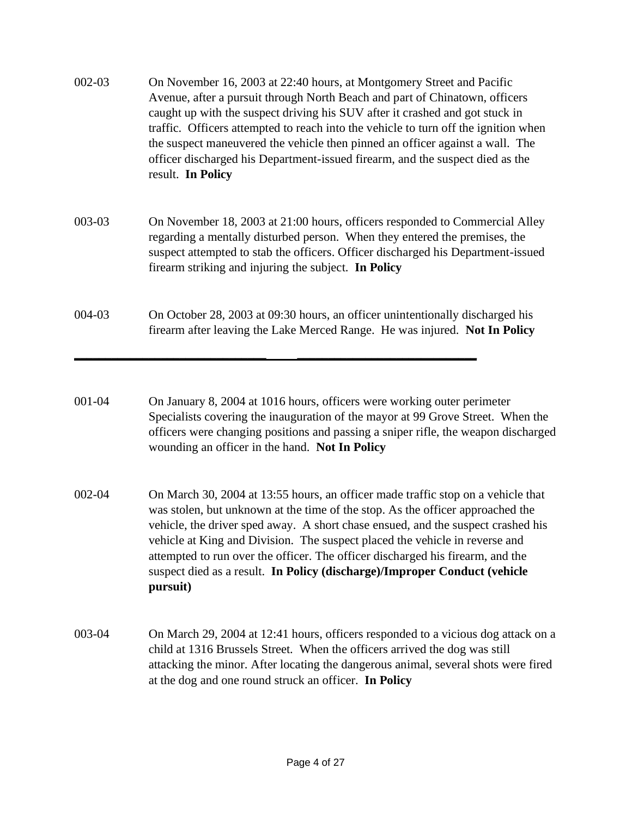- 002-03 On November 16, 2003 at 22:40 hours, at Montgomery Street and Pacific Avenue, after a pursuit through North Beach and part of Chinatown, officers caught up with the suspect driving his SUV after it crashed and got stuck in traffic. Officers attempted to reach into the vehicle to turn off the ignition when the suspect maneuvered the vehicle then pinned an officer against a wall. The officer discharged his Department-issued firearm, and the suspect died as the result. **In Policy**
- 003-03 On November 18, 2003 at 21:00 hours, officers responded to Commercial Alley regarding a mentally disturbed person. When they entered the premises, the suspect attempted to stab the officers. Officer discharged his Department-issued firearm striking and injuring the subject. **In Policy**
- 004-03 On October 28, 2003 at 09:30 hours, an officer unintentionally discharged his firearm after leaving the Lake Merced Range. He was injured. **Not In Policy**

**\_\_\_\_\_\_\_\_\_\_\_\_\_\_\_\_\_\_\_\_\_\_\_\_\_\_\_\_\_\_\_ \_\_\_\_\_\_\_\_\_\_\_\_\_\_\_\_\_\_\_\_\_\_\_\_\_\_\_\_\_**

- 001-04 On January 8, 2004 at 1016 hours, officers were working outer perimeter Specialists covering the inauguration of the mayor at 99 Grove Street. When the officers were changing positions and passing a sniper rifle, the weapon discharged wounding an officer in the hand. **Not In Policy**
- 002-04 On March 30, 2004 at 13:55 hours, an officer made traffic stop on a vehicle that was stolen, but unknown at the time of the stop. As the officer approached the vehicle, the driver sped away. A short chase ensued, and the suspect crashed his vehicle at King and Division. The suspect placed the vehicle in reverse and attempted to run over the officer. The officer discharged his firearm, and the suspect died as a result. **In Policy (discharge)/Improper Conduct (vehicle pursuit)**
- 003-04 On March 29, 2004 at 12:41 hours, officers responded to a vicious dog attack on a child at 1316 Brussels Street. When the officers arrived the dog was still attacking the minor. After locating the dangerous animal, several shots were fired at the dog and one round struck an officer. **In Policy**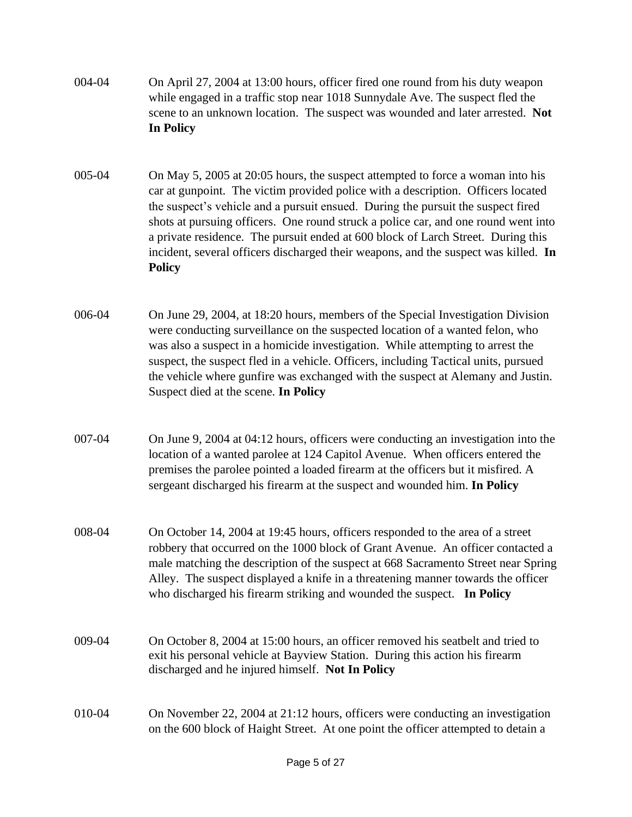- 004-04 On April 27, 2004 at 13:00 hours, officer fired one round from his duty weapon while engaged in a traffic stop near 1018 Sunnydale Ave. The suspect fled the scene to an unknown location. The suspect was wounded and later arrested. **Not In Policy**
- 005-04 On May 5, 2005 at 20:05 hours, the suspect attempted to force a woman into his car at gunpoint. The victim provided police with a description. Officers located the suspect's vehicle and a pursuit ensued. During the pursuit the suspect fired shots at pursuing officers. One round struck a police car, and one round went into a private residence. The pursuit ended at 600 block of Larch Street. During this incident, several officers discharged their weapons, and the suspect was killed. **In Policy**
- 006-04 On June 29, 2004, at 18:20 hours, members of the Special Investigation Division were conducting surveillance on the suspected location of a wanted felon, who was also a suspect in a homicide investigation. While attempting to arrest the suspect, the suspect fled in a vehicle. Officers, including Tactical units, pursued the vehicle where gunfire was exchanged with the suspect at Alemany and Justin. Suspect died at the scene. **In Policy**
- 007-04 On June 9, 2004 at 04:12 hours, officers were conducting an investigation into the location of a wanted parolee at 124 Capitol Avenue. When officers entered the premises the parolee pointed a loaded firearm at the officers but it misfired. A sergeant discharged his firearm at the suspect and wounded him. **In Policy**
- 008-04 On October 14, 2004 at 19:45 hours, officers responded to the area of a street robbery that occurred on the 1000 block of Grant Avenue. An officer contacted a male matching the description of the suspect at 668 Sacramento Street near Spring Alley. The suspect displayed a knife in a threatening manner towards the officer who discharged his firearm striking and wounded the suspect. **In Policy**
- 009-04 On October 8, 2004 at 15:00 hours, an officer removed his seatbelt and tried to exit his personal vehicle at Bayview Station. During this action his firearm discharged and he injured himself. **Not In Policy**
- 010-04 On November 22, 2004 at 21:12 hours, officers were conducting an investigation on the 600 block of Haight Street. At one point the officer attempted to detain a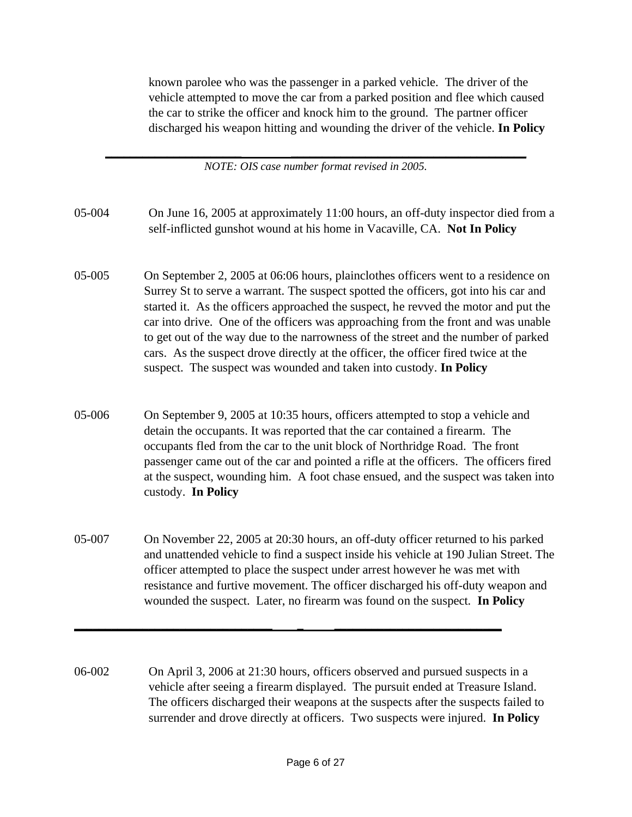known parolee who was the passenger in a parked vehicle. The driver of the vehicle attempted to move the car from a parked position and flee which caused the car to strike the officer and knock him to the ground. The partner officer discharged his weapon hitting and wounding the driver of the vehicle. **In Policy**

**\_\_\_\_\_\_\_\_\_\_\_\_\_\_\_\_\_\_\_\_\_\_ \_\_\_\_\_\_\_\_\_\_\_\_\_\_\_\_\_\_\_\_\_\_\_\_\_\_\_\_\_\_\_\_\_\_\_\_\_\_** *NOTE: OIS case number format revised in 2005.*

- 05-004 On June 16, 2005 at approximately 11:00 hours, an off-duty inspector died from a self-inflicted gunshot wound at his home in Vacaville, CA. **Not In Policy**
- 05-005 On September 2, 2005 at 06:06 hours, plainclothes officers went to a residence on Surrey St to serve a warrant. The suspect spotted the officers, got into his car and started it. As the officers approached the suspect, he revved the motor and put the car into drive. One of the officers was approaching from the front and was unable to get out of the way due to the narrowness of the street and the number of parked cars. As the suspect drove directly at the officer, the officer fired twice at the suspect. The suspect was wounded and taken into custody. **In Policy**
- 05-006 On September 9, 2005 at 10:35 hours, officers attempted to stop a vehicle and detain the occupants. It was reported that the car contained a firearm. The occupants fled from the car to the unit block of Northridge Road. The front passenger came out of the car and pointed a rifle at the officers. The officers fired at the suspect, wounding him. A foot chase ensued, and the suspect was taken into custody. **In Policy**
- 05-007 On November 22, 2005 at 20:30 hours, an off-duty officer returned to his parked and unattended vehicle to find a suspect inside his vehicle at 190 Julian Street. The officer attempted to place the suspect under arrest however he was met with resistance and furtive movement. The officer discharged his off-duty weapon and wounded the suspect. Later, no firearm was found on the suspect. **In Policy**
- 06-002 On April 3, 2006 at 21:30 hours, officers observed and pursued suspects in a vehicle after seeing a firearm displayed. The pursuit ended at Treasure Island. The officers discharged their weapons at the suspects after the suspects failed to surrender and drove directly at officers. Two suspects were injured. **In Policy**

**\_\_\_\_\_\_\_\_\_\_\_\_\_\_\_\_\_\_\_\_\_\_\_\_\_\_\_\_\_\_\_\_ \_ \_\_\_\_\_\_\_\_\_\_\_\_\_\_\_\_\_\_\_\_\_\_\_\_\_\_\_**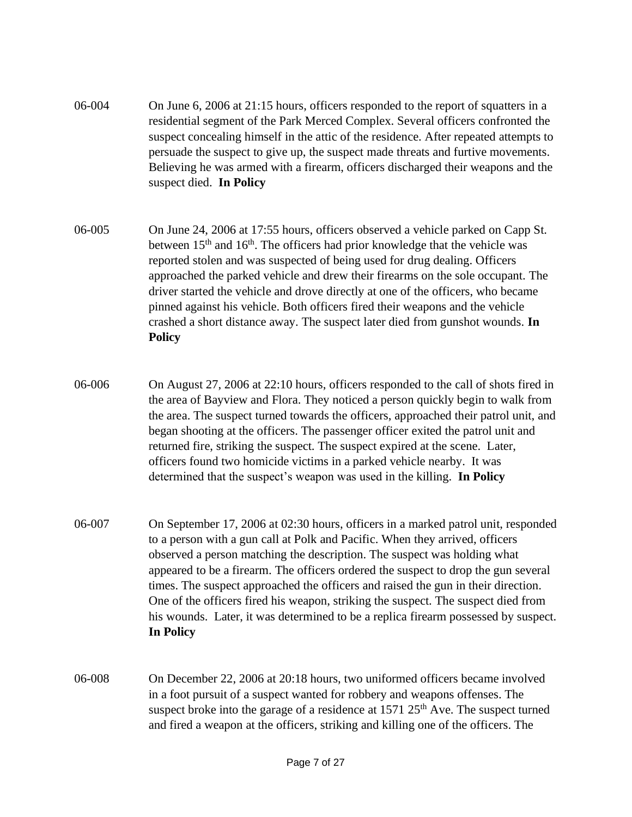- 06-004 On June 6, 2006 at 21:15 hours, officers responded to the report of squatters in a residential segment of the Park Merced Complex. Several officers confronted the suspect concealing himself in the attic of the residence. After repeated attempts to persuade the suspect to give up, the suspect made threats and furtive movements. Believing he was armed with a firearm, officers discharged their weapons and the suspect died. **In Policy**
- 06-005 On June 24, 2006 at 17:55 hours, officers observed a vehicle parked on Capp St. between 15<sup>th</sup> and 16<sup>th</sup>. The officers had prior knowledge that the vehicle was reported stolen and was suspected of being used for drug dealing. Officers approached the parked vehicle and drew their firearms on the sole occupant. The driver started the vehicle and drove directly at one of the officers, who became pinned against his vehicle. Both officers fired their weapons and the vehicle crashed a short distance away. The suspect later died from gunshot wounds. **In Policy**
- 06-006 On August 27, 2006 at 22:10 hours, officers responded to the call of shots fired in the area of Bayview and Flora. They noticed a person quickly begin to walk from the area. The suspect turned towards the officers, approached their patrol unit, and began shooting at the officers. The passenger officer exited the patrol unit and returned fire, striking the suspect. The suspect expired at the scene. Later, officers found two homicide victims in a parked vehicle nearby. It was determined that the suspect's weapon was used in the killing. **In Policy**
- 06-007 On September 17, 2006 at 02:30 hours, officers in a marked patrol unit, responded to a person with a gun call at Polk and Pacific. When they arrived, officers observed a person matching the description. The suspect was holding what appeared to be a firearm. The officers ordered the suspect to drop the gun several times. The suspect approached the officers and raised the gun in their direction. One of the officers fired his weapon, striking the suspect. The suspect died from his wounds. Later, it was determined to be a replica firearm possessed by suspect. **In Policy**
- 06-008 On December 22, 2006 at 20:18 hours, two uniformed officers became involved in a foot pursuit of a suspect wanted for robbery and weapons offenses. The suspect broke into the garage of a residence at  $1571$   $25<sup>th</sup>$  Ave. The suspect turned and fired a weapon at the officers, striking and killing one of the officers. The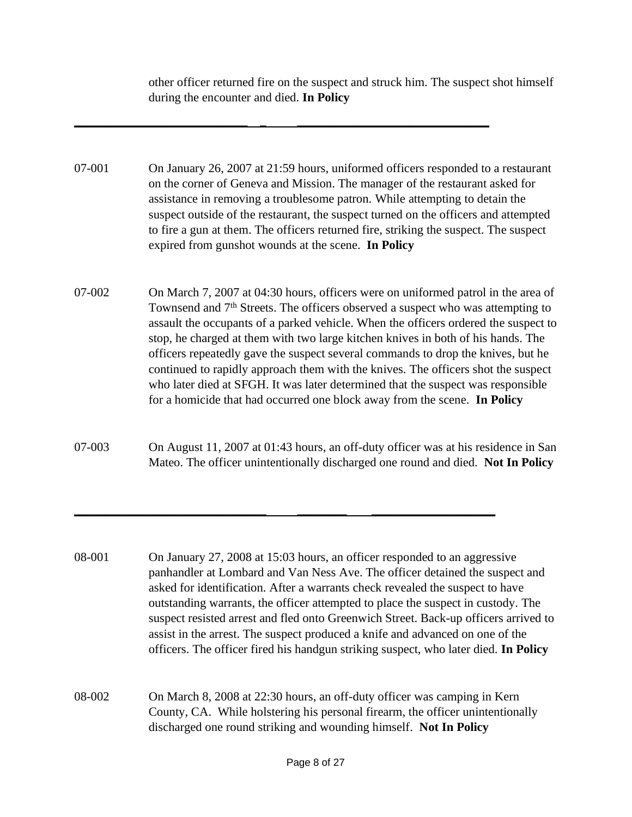other officer returned fire on the suspect and struck him. The suspect shot himself during the encounter and died. **In Policy**

07-001 On January 26, 2007 at 21:59 hours, uniformed officers responded to a restaurant on the corner of Geneva and Mission. The manager of the restaurant asked for assistance in removing a troublesome patron. While attempting to detain the suspect outside of the restaurant, the suspect turned on the officers and attempted to fire a gun at them. The officers returned fire, striking the suspect. The suspect expired from gunshot wounds at the scene. **In Policy** 

**\_\_\_\_\_\_\_\_\_\_\_\_\_\_\_\_\_\_\_\_\_\_\_\_\_\_\_\_ \_ \_\_\_\_\_\_\_\_\_\_\_\_\_\_\_\_\_\_\_\_\_\_\_\_\_\_\_\_\_\_\_**

- 07-002 On March 7, 2007 at 04:30 hours, officers were on uniformed patrol in the area of Townsend and 7<sup>th</sup> Streets. The officers observed a suspect who was attempting to assault the occupants of a parked vehicle. When the officers ordered the suspect to stop, he charged at them with two large kitchen knives in both of his hands. The officers repeatedly gave the suspect several commands to drop the knives, but he continued to rapidly approach them with the knives. The officers shot the suspect who later died at SFGH. It was later determined that the suspect was responsible for a homicide that had occurred one block away from the scene. **In Policy**
- 07-003 On August 11, 2007 at 01:43 hours, an off-duty officer was at his residence in San Mateo. The officer unintentionally discharged one round and died. **Not In Policy**

**\_\_\_\_\_\_\_\_\_\_\_\_\_\_\_\_\_\_\_\_\_\_\_\_\_\_\_\_\_\_\_ \_\_\_\_\_\_\_\_ \_\_\_\_\_\_\_\_\_\_\_\_\_\_\_\_\_\_\_\_**

- 08-001 On January 27, 2008 at 15:03 hours, an officer responded to an aggressive panhandler at Lombard and Van Ness Ave. The officer detained the suspect and asked for identification. After a warrants check revealed the suspect to have outstanding warrants, the officer attempted to place the suspect in custody. The suspect resisted arrest and fled onto Greenwich Street. Back-up officers arrived to assist in the arrest. The suspect produced a knife and advanced on one of the officers. The officer fired his handgun striking suspect, who later died. **In Policy**
- 08-002 On March 8, 2008 at 22:30 hours, an off-duty officer was camping in Kern County, CA. While holstering his personal firearm, the officer unintentionally discharged one round striking and wounding himself. **Not In Policy**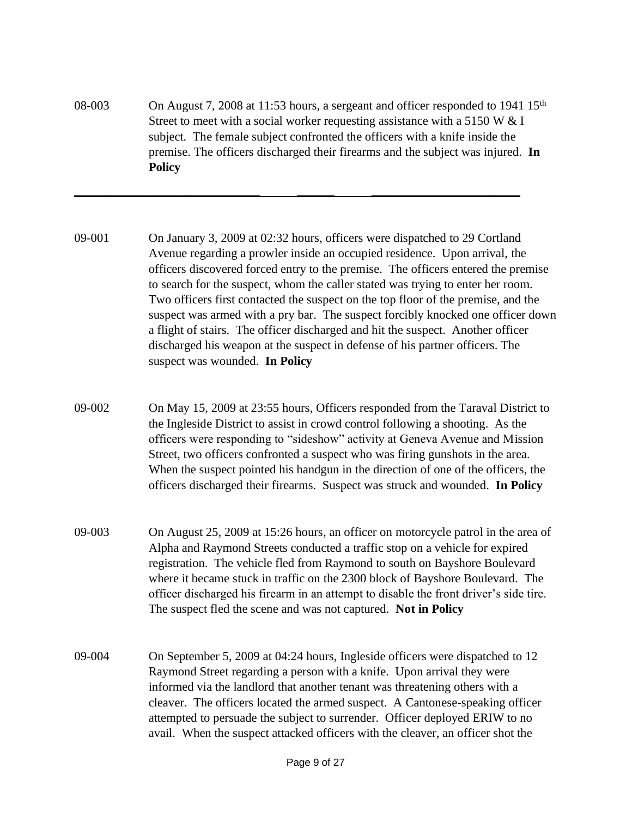08-003 On August 7, 2008 at 11:53 hours, a sergeant and officer responded to 1941 15<sup>th</sup> Street to meet with a social worker requesting assistance with a 5150 W  $&$  I subject. The female subject confronted the officers with a knife inside the premise. The officers discharged their firearms and the subject was injured. **In Policy**

**\_\_\_\_\_\_\_\_\_\_\_\_\_\_\_\_\_\_\_\_\_\_\_\_\_\_\_\_\_\_ \_\_\_\_\_\_ \_\_\_\_\_\_\_\_\_\_\_\_\_\_\_\_\_\_\_\_\_\_\_\_**

- 09-001 On January 3, 2009 at 02:32 hours, officers were dispatched to 29 Cortland Avenue regarding a prowler inside an occupied residence. Upon arrival, the officers discovered forced entry to the premise. The officers entered the premise to search for the suspect, whom the caller stated was trying to enter her room. Two officers first contacted the suspect on the top floor of the premise, and the suspect was armed with a pry bar. The suspect forcibly knocked one officer down a flight of stairs. The officer discharged and hit the suspect. Another officer discharged his weapon at the suspect in defense of his partner officers. The suspect was wounded. **In Policy**
- 09-002 On May 15, 2009 at 23:55 hours, Officers responded from the Taraval District to the Ingleside District to assist in crowd control following a shooting. As the officers were responding to "sideshow" activity at Geneva Avenue and Mission Street, two officers confronted a suspect who was firing gunshots in the area. When the suspect pointed his handgun in the direction of one of the officers, the officers discharged their firearms. Suspect was struck and wounded. **In Policy**
- 09-003 On August 25, 2009 at 15:26 hours, an officer on motorcycle patrol in the area of Alpha and Raymond Streets conducted a traffic stop on a vehicle for expired registration. The vehicle fled from Raymond to south on Bayshore Boulevard where it became stuck in traffic on the 2300 block of Bayshore Boulevard. The officer discharged his firearm in an attempt to disable the front driver's side tire. The suspect fled the scene and was not captured. **Not in Policy**
- 09-004 On September 5, 2009 at 04:24 hours, Ingleside officers were dispatched to 12 Raymond Street regarding a person with a knife. Upon arrival they were informed via the landlord that another tenant was threatening others with a cleaver. The officers located the armed suspect. A Cantonese-speaking officer attempted to persuade the subject to surrender. Officer deployed ERIW to no avail. When the suspect attacked officers with the cleaver, an officer shot the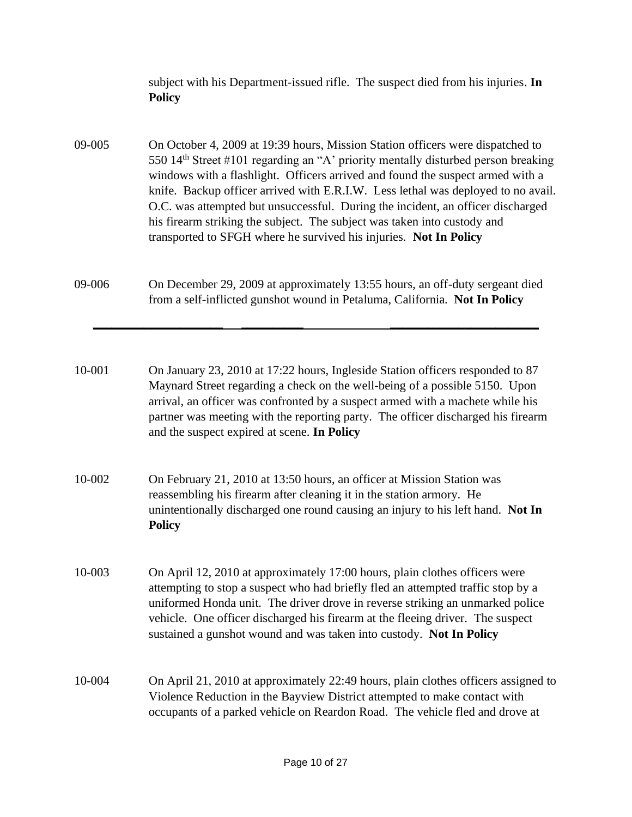subject with his Department-issued rifle. The suspect died from his injuries. **In Policy**

- 09-005 On October 4, 2009 at 19:39 hours, Mission Station officers were dispatched to 550 14th Street #101 regarding an "A' priority mentally disturbed person breaking windows with a flashlight. Officers arrived and found the suspect armed with a knife. Backup officer arrived with E.R.I.W. Less lethal was deployed to no avail. O.C. was attempted but unsuccessful. During the incident, an officer discharged his firearm striking the subject. The subject was taken into custody and transported to SFGH where he survived his injuries. **Not In Policy**
- 09-006 On December 29, 2009 at approximately 13:55 hours, an off-duty sergeant died from a self-inflicted gunshot wound in Petaluma, California. **Not In Policy**

**\_\_\_\_\_\_\_\_\_\_\_\_\_\_\_\_\_\_\_\_\_ \_\_\_\_\_\_\_\_\_\_ \_\_\_\_\_\_\_\_\_\_\_\_\_\_\_\_\_\_\_\_\_\_\_\_**

- 10-001 On January 23, 2010 at 17:22 hours, Ingleside Station officers responded to 87 Maynard Street regarding a check on the well-being of a possible 5150. Upon arrival, an officer was confronted by a suspect armed with a machete while his partner was meeting with the reporting party. The officer discharged his firearm and the suspect expired at scene. **In Policy**
- 10-002 On February 21, 2010 at 13:50 hours, an officer at Mission Station was reassembling his firearm after cleaning it in the station armory. He unintentionally discharged one round causing an injury to his left hand. **Not In Policy**
- 10-003 On April 12, 2010 at approximately 17:00 hours, plain clothes officers were attempting to stop a suspect who had briefly fled an attempted traffic stop by a uniformed Honda unit. The driver drove in reverse striking an unmarked police vehicle. One officer discharged his firearm at the fleeing driver. The suspect sustained a gunshot wound and was taken into custody. **Not In Policy**
- 10-004 On April 21, 2010 at approximately 22:49 hours, plain clothes officers assigned to Violence Reduction in the Bayview District attempted to make contact with occupants of a parked vehicle on Reardon Road. The vehicle fled and drove at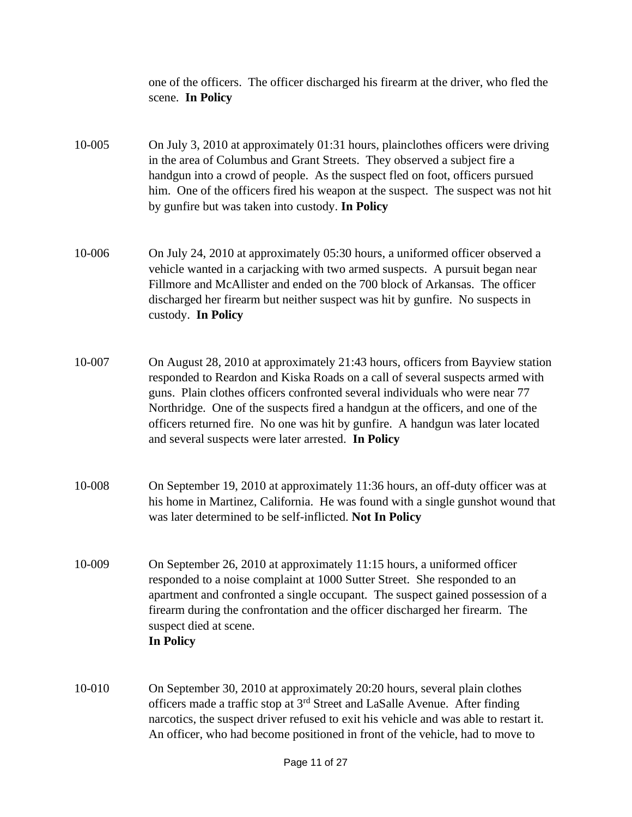one of the officers. The officer discharged his firearm at the driver, who fled the scene. **In Policy**

- 10-005 On July 3, 2010 at approximately 01:31 hours, plainclothes officers were driving in the area of Columbus and Grant Streets. They observed a subject fire a handgun into a crowd of people. As the suspect fled on foot, officers pursued him. One of the officers fired his weapon at the suspect. The suspect was not hit by gunfire but was taken into custody. **In Policy**
- 10-006 On July 24, 2010 at approximately 05:30 hours, a uniformed officer observed a vehicle wanted in a carjacking with two armed suspects. A pursuit began near Fillmore and McAllister and ended on the 700 block of Arkansas. The officer discharged her firearm but neither suspect was hit by gunfire. No suspects in custody. **In Policy**
- 10-007 On August 28, 2010 at approximately 21:43 hours, officers from Bayview station responded to Reardon and Kiska Roads on a call of several suspects armed with guns. Plain clothes officers confronted several individuals who were near 77 Northridge. One of the suspects fired a handgun at the officers, and one of the officers returned fire. No one was hit by gunfire. A handgun was later located and several suspects were later arrested. **In Policy**
- 10-008 On September 19, 2010 at approximately 11:36 hours, an off-duty officer was at his home in Martinez, California. He was found with a single gunshot wound that was later determined to be self-inflicted. **Not In Policy**
- 10-009 On September 26, 2010 at approximately 11:15 hours, a uniformed officer responded to a noise complaint at 1000 Sutter Street. She responded to an apartment and confronted a single occupant. The suspect gained possession of a firearm during the confrontation and the officer discharged her firearm. The suspect died at scene. **In Policy**
- 10-010 On September 30, 2010 at approximately 20:20 hours, several plain clothes officers made a traffic stop at 3rd Street and LaSalle Avenue. After finding narcotics, the suspect driver refused to exit his vehicle and was able to restart it. An officer, who had become positioned in front of the vehicle, had to move to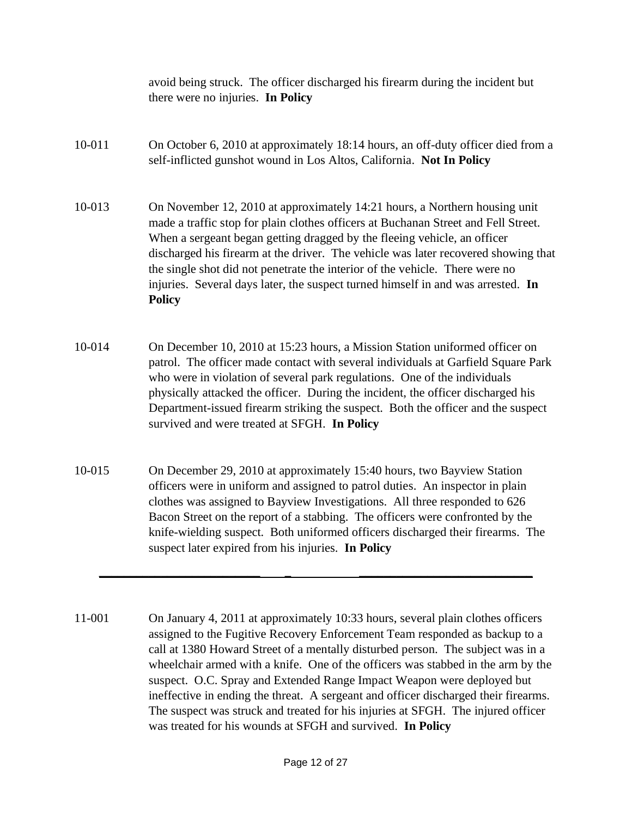avoid being struck. The officer discharged his firearm during the incident but there were no injuries. **In Policy**

10-011 On October 6, 2010 at approximately 18:14 hours, an off-duty officer died from a self-inflicted gunshot wound in Los Altos, California. **Not In Policy**

10-013 On November 12, 2010 at approximately 14:21 hours, a Northern housing unit made a traffic stop for plain clothes officers at Buchanan Street and Fell Street. When a sergeant began getting dragged by the fleeing vehicle, an officer discharged his firearm at the driver. The vehicle was later recovered showing that the single shot did not penetrate the interior of the vehicle. There were no injuries. Several days later, the suspect turned himself in and was arrested. **In Policy**

- 10-014 On December 10, 2010 at 15:23 hours, a Mission Station uniformed officer on patrol. The officer made contact with several individuals at Garfield Square Park who were in violation of several park regulations. One of the individuals physically attacked the officer. During the incident, the officer discharged his Department-issued firearm striking the suspect. Both the officer and the suspect survived and were treated at SFGH. **In Policy**
- 10-015 On December 29, 2010 at approximately 15:40 hours, two Bayview Station officers were in uniform and assigned to patrol duties. An inspector in plain clothes was assigned to Bayview Investigations. All three responded to 626 Bacon Street on the report of a stabbing. The officers were confronted by the knife-wielding suspect. Both uniformed officers discharged their firearms. The suspect later expired from his injuries. **In Policy**

**\_\_\_\_\_\_\_\_\_\_\_\_\_\_\_\_\_\_\_\_\_\_\_\_\_\_ \_ \_\_\_\_\_\_\_\_\_\_\_\_\_\_\_\_\_\_\_\_\_\_\_\_\_\_\_\_**

11-001 On January 4, 2011 at approximately 10:33 hours, several plain clothes officers assigned to the Fugitive Recovery Enforcement Team responded as backup to a call at 1380 Howard Street of a mentally disturbed person. The subject was in a wheelchair armed with a knife. One of the officers was stabbed in the arm by the suspect. O.C. Spray and Extended Range Impact Weapon were deployed but ineffective in ending the threat. A sergeant and officer discharged their firearms. The suspect was struck and treated for his injuries at SFGH. The injured officer was treated for his wounds at SFGH and survived. **In Policy**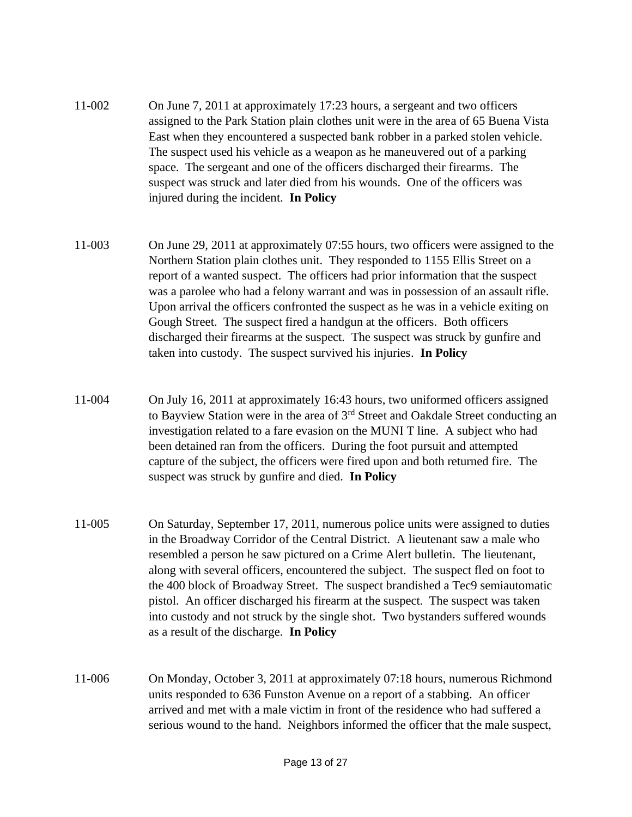- 11-002 On June 7, 2011 at approximately 17:23 hours, a sergeant and two officers assigned to the Park Station plain clothes unit were in the area of 65 Buena Vista East when they encountered a suspected bank robber in a parked stolen vehicle. The suspect used his vehicle as a weapon as he maneuvered out of a parking space. The sergeant and one of the officers discharged their firearms. The suspect was struck and later died from his wounds. One of the officers was injured during the incident. **In Policy**
- 11-003 On June 29, 2011 at approximately 07:55 hours, two officers were assigned to the Northern Station plain clothes unit. They responded to 1155 Ellis Street on a report of a wanted suspect. The officers had prior information that the suspect was a parolee who had a felony warrant and was in possession of an assault rifle. Upon arrival the officers confronted the suspect as he was in a vehicle exiting on Gough Street. The suspect fired a handgun at the officers. Both officers discharged their firearms at the suspect. The suspect was struck by gunfire and taken into custody. The suspect survived his injuries. **In Policy**
- 11-004 On July 16, 2011 at approximately 16:43 hours, two uniformed officers assigned to Bayview Station were in the area of 3rd Street and Oakdale Street conducting an investigation related to a fare evasion on the MUNI T line. A subject who had been detained ran from the officers. During the foot pursuit and attempted capture of the subject, the officers were fired upon and both returned fire. The suspect was struck by gunfire and died. **In Policy**
- 11-005 On Saturday, September 17, 2011, numerous police units were assigned to duties in the Broadway Corridor of the Central District. A lieutenant saw a male who resembled a person he saw pictured on a Crime Alert bulletin. The lieutenant, along with several officers, encountered the subject. The suspect fled on foot to the 400 block of Broadway Street. The suspect brandished a Tec9 semiautomatic pistol. An officer discharged his firearm at the suspect. The suspect was taken into custody and not struck by the single shot. Two bystanders suffered wounds as a result of the discharge. **In Policy**
- 11-006 On Monday, October 3, 2011 at approximately 07:18 hours, numerous Richmond units responded to 636 Funston Avenue on a report of a stabbing. An officer arrived and met with a male victim in front of the residence who had suffered a serious wound to the hand. Neighbors informed the officer that the male suspect,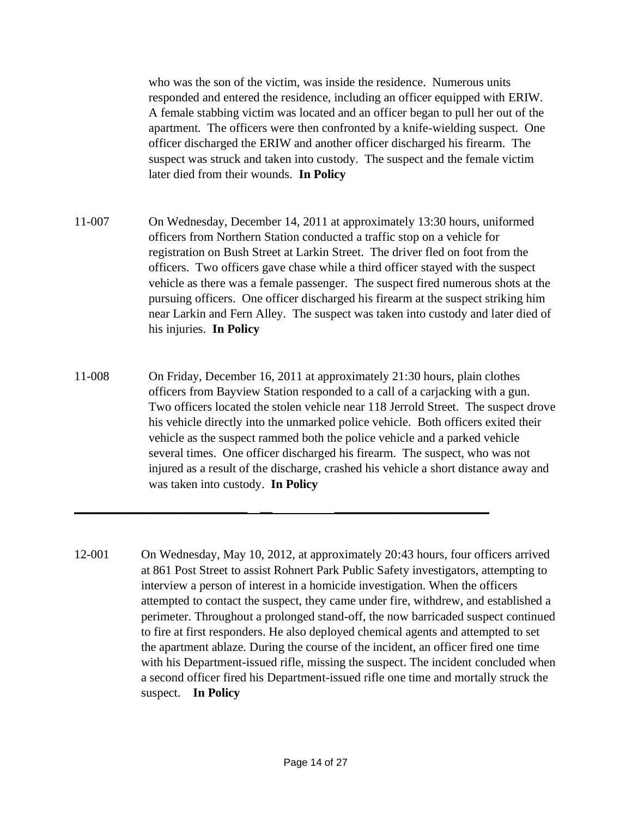who was the son of the victim, was inside the residence. Numerous units responded and entered the residence, including an officer equipped with ERIW. A female stabbing victim was located and an officer began to pull her out of the apartment. The officers were then confronted by a knife-wielding suspect. One officer discharged the ERIW and another officer discharged his firearm. The suspect was struck and taken into custody. The suspect and the female victim later died from their wounds. **In Policy**

- 11-007 On Wednesday, December 14, 2011 at approximately 13:30 hours, uniformed officers from Northern Station conducted a traffic stop on a vehicle for registration on Bush Street at Larkin Street. The driver fled on foot from the officers. Two officers gave chase while a third officer stayed with the suspect vehicle as there was a female passenger. The suspect fired numerous shots at the pursuing officers. One officer discharged his firearm at the suspect striking him near Larkin and Fern Alley. The suspect was taken into custody and later died of his injuries. **In Policy**
- 11-008 On Friday, December 16, 2011 at approximately 21:30 hours, plain clothes officers from Bayview Station responded to a call of a carjacking with a gun. Two officers located the stolen vehicle near 118 Jerrold Street. The suspect drove his vehicle directly into the unmarked police vehicle. Both officers exited their vehicle as the suspect rammed both the police vehicle and a parked vehicle several times. One officer discharged his firearm. The suspect, who was not injured as a result of the discharge, crashed his vehicle a short distance away and was taken into custody. **In Policy**

**\_\_\_\_\_\_\_\_\_\_\_\_\_\_\_\_\_\_\_\_\_\_\_\_\_\_\_\_ \_\_ \_\_\_\_\_\_\_\_\_\_\_\_\_\_\_\_\_\_\_\_\_\_\_\_\_**

12-001 On Wednesday, May 10, 2012, at approximately 20:43 hours, four officers arrived at 861 Post Street to assist Rohnert Park Public Safety investigators, attempting to interview a person of interest in a homicide investigation. When the officers attempted to contact the suspect, they came under fire, withdrew, and established a perimeter. Throughout a prolonged stand-off, the now barricaded suspect continued to fire at first responders. He also deployed chemical agents and attempted to set the apartment ablaze. During the course of the incident, an officer fired one time with his Department-issued rifle, missing the suspect. The incident concluded when a second officer fired his Department-issued rifle one time and mortally struck the suspect. **In Policy**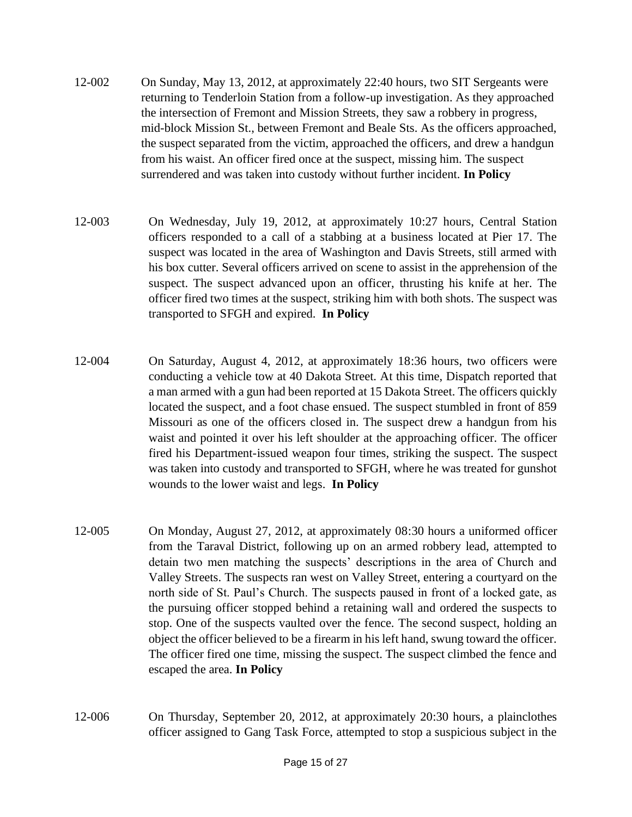- 12-002 On Sunday, May 13, 2012, at approximately 22:40 hours, two SIT Sergeants were returning to Tenderloin Station from a follow-up investigation. As they approached the intersection of Fremont and Mission Streets, they saw a robbery in progress, mid-block Mission St., between Fremont and Beale Sts. As the officers approached, the suspect separated from the victim, approached the officers, and drew a handgun from his waist. An officer fired once at the suspect, missing him. The suspect surrendered and was taken into custody without further incident. **In Policy**
- 12-003 On Wednesday, July 19, 2012, at approximately 10:27 hours, Central Station officers responded to a call of a stabbing at a business located at Pier 17. The suspect was located in the area of Washington and Davis Streets, still armed with his box cutter. Several officers arrived on scene to assist in the apprehension of the suspect. The suspect advanced upon an officer, thrusting his knife at her. The officer fired two times at the suspect, striking him with both shots. The suspect was transported to SFGH and expired. **In Policy**
- 12-004 On Saturday, August 4, 2012, at approximately 18:36 hours, two officers were conducting a vehicle tow at 40 Dakota Street. At this time, Dispatch reported that a man armed with a gun had been reported at 15 Dakota Street. The officers quickly located the suspect, and a foot chase ensued. The suspect stumbled in front of 859 Missouri as one of the officers closed in. The suspect drew a handgun from his waist and pointed it over his left shoulder at the approaching officer. The officer fired his Department-issued weapon four times, striking the suspect. The suspect was taken into custody and transported to SFGH, where he was treated for gunshot wounds to the lower waist and legs. **In Policy**
- 12-005 On Monday, August 27, 2012, at approximately 08:30 hours a uniformed officer from the Taraval District, following up on an armed robbery lead, attempted to detain two men matching the suspects' descriptions in the area of Church and Valley Streets. The suspects ran west on Valley Street, entering a courtyard on the north side of St. Paul's Church. The suspects paused in front of a locked gate, as the pursuing officer stopped behind a retaining wall and ordered the suspects to stop. One of the suspects vaulted over the fence. The second suspect, holding an object the officer believed to be a firearm in his left hand, swung toward the officer. The officer fired one time, missing the suspect. The suspect climbed the fence and escaped the area. **In Policy**
- 12-006 On Thursday, September 20, 2012, at approximately 20:30 hours, a plainclothes officer assigned to Gang Task Force, attempted to stop a suspicious subject in the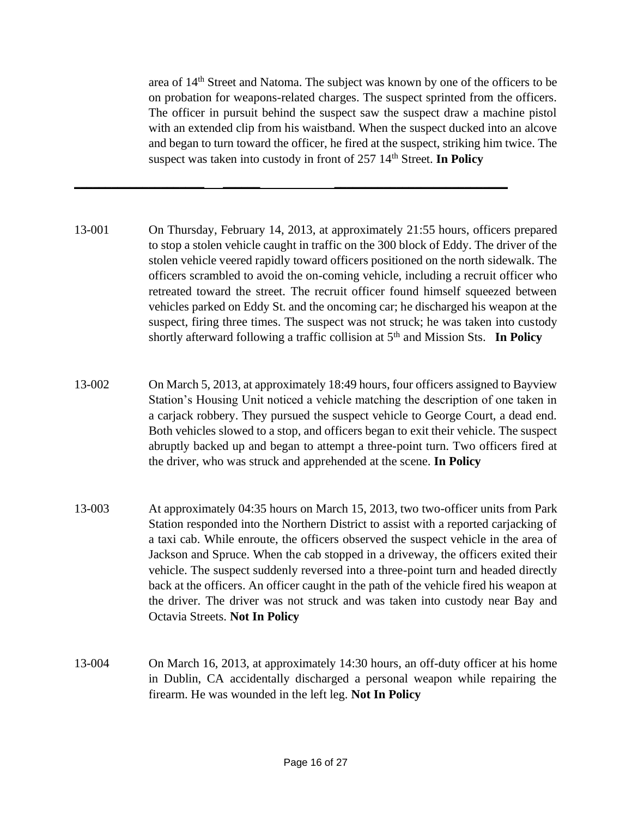area of 14th Street and Natoma. The subject was known by one of the officers to be on probation for weapons-related charges. The suspect sprinted from the officers. The officer in pursuit behind the suspect saw the suspect draw a machine pistol with an extended clip from his waistband. When the suspect ducked into an alcove and began to turn toward the officer, he fired at the suspect, striking him twice. The suspect was taken into custody in front of 257 14<sup>th</sup> Street. **In Policy** 

13-001 On Thursday, February 14, 2013, at approximately 21:55 hours, officers prepared to stop a stolen vehicle caught in traffic on the 300 block of Eddy. The driver of the stolen vehicle veered rapidly toward officers positioned on the north sidewalk. The officers scrambled to avoid the on-coming vehicle, including a recruit officer who retreated toward the street. The recruit officer found himself squeezed between vehicles parked on Eddy St. and the oncoming car; he discharged his weapon at the suspect, firing three times. The suspect was not struck; he was taken into custody shortly afterward following a traffic collision at 5<sup>th</sup> and Mission Sts. **In Policy** 

**\_\_\_\_\_\_\_\_\_\_\_\_\_\_\_\_\_\_\_\_\_ \_\_\_\_\_\_ \_\_\_\_\_\_\_\_\_\_\_\_\_\_\_\_\_\_\_\_\_\_\_\_\_\_\_\_**

- 13-002 On March 5, 2013, at approximately 18:49 hours, four officers assigned to Bayview Station's Housing Unit noticed a vehicle matching the description of one taken in a carjack robbery. They pursued the suspect vehicle to George Court, a dead end. Both vehicles slowed to a stop, and officers began to exit their vehicle. The suspect abruptly backed up and began to attempt a three-point turn. Two officers fired at the driver, who was struck and apprehended at the scene. **In Policy**
- 13-003 At approximately 04:35 hours on March 15, 2013, two two-officer units from Park Station responded into the Northern District to assist with a reported carjacking of a taxi cab. While enroute, the officers observed the suspect vehicle in the area of Jackson and Spruce. When the cab stopped in a driveway, the officers exited their vehicle. The suspect suddenly reversed into a three-point turn and headed directly back at the officers. An officer caught in the path of the vehicle fired his weapon at the driver. The driver was not struck and was taken into custody near Bay and Octavia Streets. **Not In Policy**
- 13-004 On March 16, 2013, at approximately 14:30 hours, an off-duty officer at his home in Dublin, CA accidentally discharged a personal weapon while repairing the firearm. He was wounded in the left leg. **Not In Policy**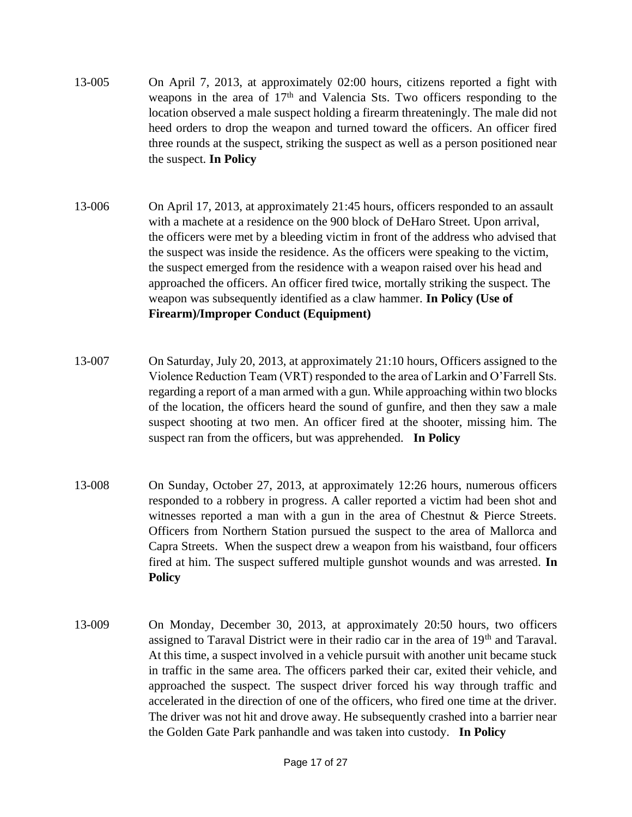- 13-005 On April 7, 2013, at approximately 02:00 hours, citizens reported a fight with weapons in the area of  $17<sup>th</sup>$  and Valencia Sts. Two officers responding to the location observed a male suspect holding a firearm threateningly. The male did not heed orders to drop the weapon and turned toward the officers. An officer fired three rounds at the suspect, striking the suspect as well as a person positioned near the suspect. **In Policy**
- 13-006 On April 17, 2013, at approximately 21:45 hours, officers responded to an assault with a machete at a residence on the 900 block of DeHaro Street. Upon arrival, the officers were met by a bleeding victim in front of the address who advised that the suspect was inside the residence. As the officers were speaking to the victim, the suspect emerged from the residence with a weapon raised over his head and approached the officers. An officer fired twice, mortally striking the suspect. The weapon was subsequently identified as a claw hammer. **In Policy (Use of Firearm)/Improper Conduct (Equipment)**
- 13-007 On Saturday, July 20, 2013, at approximately 21:10 hours, Officers assigned to the Violence Reduction Team (VRT) responded to the area of Larkin and O'Farrell Sts. regarding a report of a man armed with a gun. While approaching within two blocks of the location, the officers heard the sound of gunfire, and then they saw a male suspect shooting at two men. An officer fired at the shooter, missing him. The suspect ran from the officers, but was apprehended. **In Policy**
- 13-008 On Sunday, October 27, 2013, at approximately 12:26 hours, numerous officers responded to a robbery in progress. A caller reported a victim had been shot and witnesses reported a man with a gun in the area of Chestnut & Pierce Streets. Officers from Northern Station pursued the suspect to the area of Mallorca and Capra Streets. When the suspect drew a weapon from his waistband, four officers fired at him. The suspect suffered multiple gunshot wounds and was arrested. **In Policy**
- 13-009 On Monday, December 30, 2013, at approximately 20:50 hours, two officers assigned to Taraval District were in their radio car in the area of 19<sup>th</sup> and Taraval. At this time, a suspect involved in a vehicle pursuit with another unit became stuck in traffic in the same area. The officers parked their car, exited their vehicle, and approached the suspect. The suspect driver forced his way through traffic and accelerated in the direction of one of the officers, who fired one time at the driver. The driver was not hit and drove away. He subsequently crashed into a barrier near the Golden Gate Park panhandle and was taken into custody. **In Policy**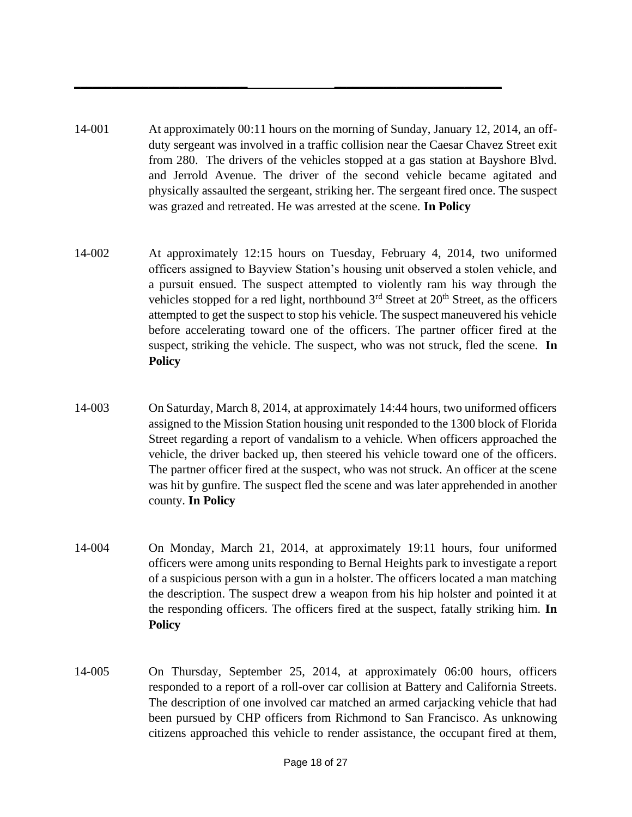14-001 At approximately 00:11 hours on the morning of Sunday, January 12, 2014, an offduty sergeant was involved in a traffic collision near the Caesar Chavez Street exit from 280. The drivers of the vehicles stopped at a gas station at Bayshore Blvd. and Jerrold Avenue. The driver of the second vehicle became agitated and physically assaulted the sergeant, striking her. The sergeant fired once. The suspect was grazed and retreated. He was arrested at the scene. **In Policy**

**\_\_\_\_\_\_\_\_\_\_\_\_\_\_\_\_\_\_\_\_\_\_\_\_\_\_\_\_ \_\_\_\_\_\_\_\_\_\_\_\_\_\_\_\_\_\_\_\_\_\_\_\_\_\_\_**

- 14-002 At approximately 12:15 hours on Tuesday, February 4, 2014, two uniformed officers assigned to Bayview Station's housing unit observed a stolen vehicle, and a pursuit ensued. The suspect attempted to violently ram his way through the vehicles stopped for a red light, northbound  $3<sup>rd</sup>$  Street at  $20<sup>th</sup>$  Street, as the officers attempted to get the suspect to stop his vehicle. The suspect maneuvered his vehicle before accelerating toward one of the officers. The partner officer fired at the suspect, striking the vehicle. The suspect, who was not struck, fled the scene. **In Policy**
- 14-003 On Saturday, March 8, 2014, at approximately 14:44 hours, two uniformed officers assigned to the Mission Station housing unit responded to the 1300 block of Florida Street regarding a report of vandalism to a vehicle. When officers approached the vehicle, the driver backed up, then steered his vehicle toward one of the officers. The partner officer fired at the suspect, who was not struck. An officer at the scene was hit by gunfire. The suspect fled the scene and was later apprehended in another county. **In Policy**
- 14-004 On Monday, March 21, 2014, at approximately 19:11 hours, four uniformed officers were among units responding to Bernal Heights park to investigate a report of a suspicious person with a gun in a holster. The officers located a man matching the description. The suspect drew a weapon from his hip holster and pointed it at the responding officers. The officers fired at the suspect, fatally striking him. **In Policy**
- 14-005 On Thursday, September 25, 2014, at approximately 06:00 hours, officers responded to a report of a roll-over car collision at Battery and California Streets. The description of one involved car matched an armed carjacking vehicle that had been pursued by CHP officers from Richmond to San Francisco. As unknowing citizens approached this vehicle to render assistance, the occupant fired at them,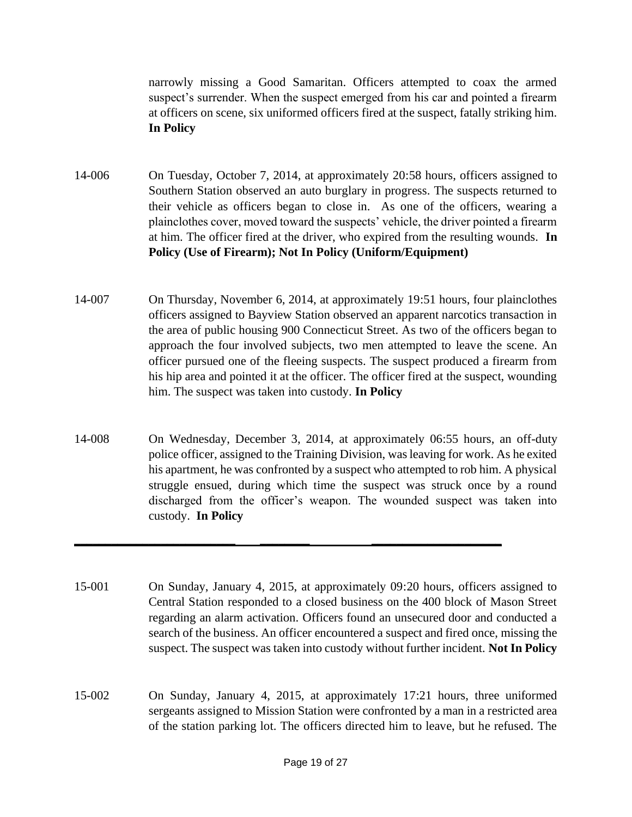narrowly missing a Good Samaritan. Officers attempted to coax the armed suspect's surrender. When the suspect emerged from his car and pointed a firearm at officers on scene, six uniformed officers fired at the suspect, fatally striking him. **In Policy**

- 14-006 On Tuesday, October 7, 2014, at approximately 20:58 hours, officers assigned to Southern Station observed an auto burglary in progress. The suspects returned to their vehicle as officers began to close in. As one of the officers, wearing a plainclothes cover, moved toward the suspects' vehicle, the driver pointed a firearm at him. The officer fired at the driver, who expired from the resulting wounds. **In Policy (Use of Firearm); Not In Policy (Uniform/Equipment)**
- 14-007 On Thursday, November 6, 2014, at approximately 19:51 hours, four plainclothes officers assigned to Bayview Station observed an apparent narcotics transaction in the area of public housing 900 Connecticut Street. As two of the officers began to approach the four involved subjects, two men attempted to leave the scene. An officer pursued one of the fleeing suspects. The suspect produced a firearm from his hip area and pointed it at the officer. The officer fired at the suspect, wounding him. The suspect was taken into custody. **In Policy**
- 14-008 On Wednesday, December 3, 2014, at approximately 06:55 hours, an off-duty police officer, assigned to the Training Division, was leaving for work. As he exited his apartment, he was confronted by a suspect who attempted to rob him. A physical struggle ensued, during which time the suspect was struck once by a round discharged from the officer's weapon. The wounded suspect was taken into custody. **In Policy**

**\_\_\_\_\_\_\_\_\_\_\_\_\_\_\_\_\_\_\_\_\_\_\_\_\_\_ \_\_\_\_\_\_\_\_ \_\_\_\_\_\_\_\_\_\_\_\_\_\_\_\_\_\_\_\_\_**

- 15-001 On Sunday, January 4, 2015, at approximately 09:20 hours, officers assigned to Central Station responded to a closed business on the 400 block of Mason Street regarding an alarm activation. Officers found an unsecured door and conducted a search of the business. An officer encountered a suspect and fired once, missing the suspect. The suspect was taken into custody without further incident. **Not In Policy**
- 15-002 On Sunday, January 4, 2015, at approximately 17:21 hours, three uniformed sergeants assigned to Mission Station were confronted by a man in a restricted area of the station parking lot. The officers directed him to leave, but he refused. The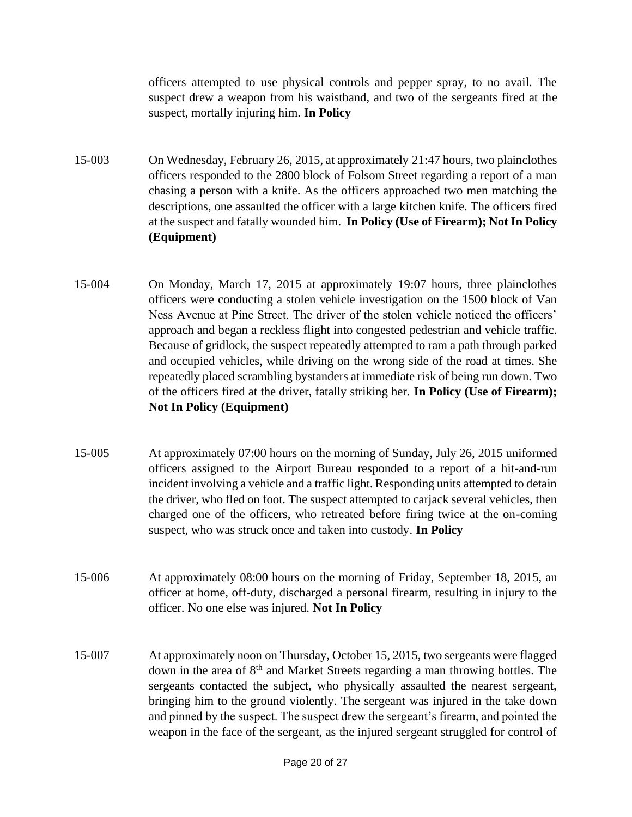officers attempted to use physical controls and pepper spray, to no avail. The suspect drew a weapon from his waistband, and two of the sergeants fired at the suspect, mortally injuring him. **In Policy**

- 15-003 On Wednesday, February 26, 2015, at approximately 21:47 hours, two plainclothes officers responded to the 2800 block of Folsom Street regarding a report of a man chasing a person with a knife. As the officers approached two men matching the descriptions, one assaulted the officer with a large kitchen knife. The officers fired at the suspect and fatally wounded him. **In Policy (Use of Firearm); Not In Policy (Equipment)**
- 15-004 On Monday, March 17, 2015 at approximately 19:07 hours, three plainclothes officers were conducting a stolen vehicle investigation on the 1500 block of Van Ness Avenue at Pine Street. The driver of the stolen vehicle noticed the officers' approach and began a reckless flight into congested pedestrian and vehicle traffic. Because of gridlock, the suspect repeatedly attempted to ram a path through parked and occupied vehicles, while driving on the wrong side of the road at times. She repeatedly placed scrambling bystanders at immediate risk of being run down. Two of the officers fired at the driver, fatally striking her. **In Policy (Use of Firearm); Not In Policy (Equipment)**
- 15-005 At approximately 07:00 hours on the morning of Sunday, July 26, 2015 uniformed officers assigned to the Airport Bureau responded to a report of a hit-and-run incident involving a vehicle and a traffic light. Responding units attempted to detain the driver, who fled on foot. The suspect attempted to carjack several vehicles, then charged one of the officers, who retreated before firing twice at the on-coming suspect, who was struck once and taken into custody. **In Policy**
- 15-006 At approximately 08:00 hours on the morning of Friday, September 18, 2015, an officer at home, off-duty, discharged a personal firearm, resulting in injury to the officer. No one else was injured. **Not In Policy**
- 15-007 At approximately noon on Thursday, October 15, 2015, two sergeants were flagged down in the area of 8<sup>th</sup> and Market Streets regarding a man throwing bottles. The sergeants contacted the subject, who physically assaulted the nearest sergeant, bringing him to the ground violently. The sergeant was injured in the take down and pinned by the suspect. The suspect drew the sergeant's firearm, and pointed the weapon in the face of the sergeant, as the injured sergeant struggled for control of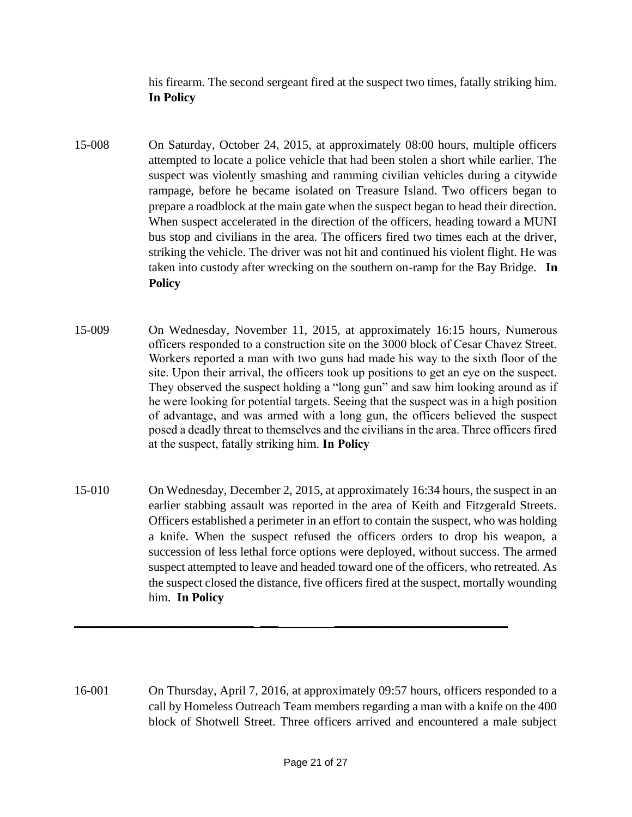his firearm. The second sergeant fired at the suspect two times, fatally striking him. **In Policy**

- 15-008 On Saturday, October 24, 2015, at approximately 08:00 hours, multiple officers attempted to locate a police vehicle that had been stolen a short while earlier. The suspect was violently smashing and ramming civilian vehicles during a citywide rampage, before he became isolated on Treasure Island. Two officers began to prepare a roadblock at the main gate when the suspect began to head their direction. When suspect accelerated in the direction of the officers, heading toward a MUNI bus stop and civilians in the area. The officers fired two times each at the driver, striking the vehicle. The driver was not hit and continued his violent flight. He was taken into custody after wrecking on the southern on-ramp for the Bay Bridge. **In Policy**
- 15-009 On Wednesday, November 11, 2015, at approximately 16:15 hours, Numerous officers responded to a construction site on the 3000 block of Cesar Chavez Street. Workers reported a man with two guns had made his way to the sixth floor of the site. Upon their arrival, the officers took up positions to get an eye on the suspect. They observed the suspect holding a "long gun" and saw him looking around as if he were looking for potential targets. Seeing that the suspect was in a high position of advantage, and was armed with a long gun, the officers believed the suspect posed a deadly threat to themselves and the civilians in the area. Three officers fired at the suspect, fatally striking him. **In Policy**
- 15-010 On Wednesday, December 2, 2015, at approximately 16:34 hours, the suspect in an earlier stabbing assault was reported in the area of Keith and Fitzgerald Streets. Officers established a perimeter in an effort to contain the suspect, who was holding a knife. When the suspect refused the officers orders to drop his weapon, a succession of less lethal force options were deployed, without success. The armed suspect attempted to leave and headed toward one of the officers, who retreated. As the suspect closed the distance, five officers fired at the suspect, mortally wounding him. **In Policy**

**\_\_\_\_\_\_\_\_\_\_\_\_\_\_\_\_\_\_\_\_\_\_\_\_\_\_\_\_\_ \_\_\_ \_\_\_\_\_\_\_\_\_\_\_\_\_\_\_\_\_\_\_\_\_\_\_\_\_\_\_\_**

16-001 On Thursday, April 7, 2016, at approximately 09:57 hours, officers responded to a call by Homeless Outreach Team members regarding a man with a knife on the 400 block of Shotwell Street. Three officers arrived and encountered a male subject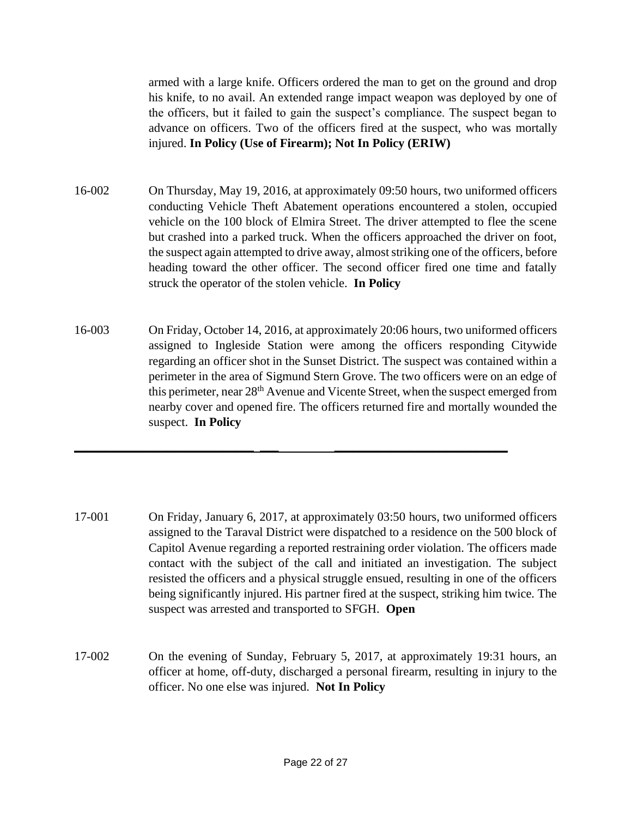armed with a large knife. Officers ordered the man to get on the ground and drop his knife, to no avail. An extended range impact weapon was deployed by one of the officers, but it failed to gain the suspect's compliance. The suspect began to advance on officers. Two of the officers fired at the suspect, who was mortally injured. **In Policy (Use of Firearm); Not In Policy (ERIW)**

- 16-002 On Thursday, May 19, 2016, at approximately 09:50 hours, two uniformed officers conducting Vehicle Theft Abatement operations encountered a stolen, occupied vehicle on the 100 block of Elmira Street. The driver attempted to flee the scene but crashed into a parked truck. When the officers approached the driver on foot, the suspect again attempted to drive away, almost striking one of the officers, before heading toward the other officer. The second officer fired one time and fatally struck the operator of the stolen vehicle. **In Policy**
- 16-003 On Friday, October 14, 2016, at approximately 20:06 hours, two uniformed officers assigned to Ingleside Station were among the officers responding Citywide regarding an officer shot in the Sunset District. The suspect was contained within a perimeter in the area of Sigmund Stern Grove. The two officers were on an edge of this perimeter, near 28th Avenue and Vicente Street, when the suspect emerged from nearby cover and opened fire. The officers returned fire and mortally wounded the suspect. **In Policy**

**\_\_\_\_\_\_\_\_\_\_\_\_\_\_\_\_\_\_\_\_\_\_\_\_\_\_\_\_\_ \_\_\_ \_\_\_\_\_\_\_\_\_\_\_\_\_\_\_\_\_\_\_\_\_\_\_\_\_\_\_\_**

- 17-001 On Friday, January 6, 2017, at approximately 03:50 hours, two uniformed officers assigned to the Taraval District were dispatched to a residence on the 500 block of Capitol Avenue regarding a reported restraining order violation. The officers made contact with the subject of the call and initiated an investigation. The subject resisted the officers and a physical struggle ensued, resulting in one of the officers being significantly injured. His partner fired at the suspect, striking him twice. The suspect was arrested and transported to SFGH. **Open**
- 17-002 On the evening of Sunday, February 5, 2017, at approximately 19:31 hours, an officer at home, off-duty, discharged a personal firearm, resulting in injury to the officer. No one else was injured. **Not In Policy**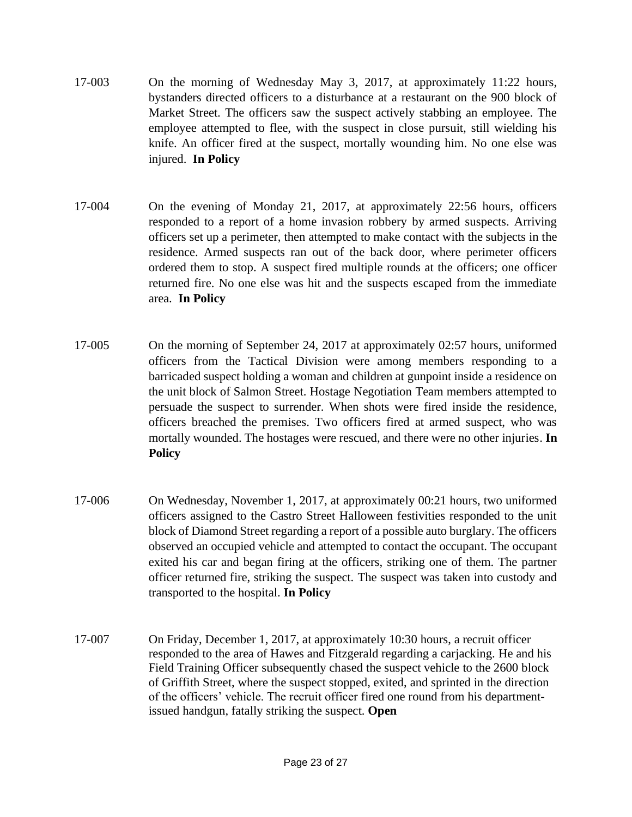- 17-003 On the morning of Wednesday May 3, 2017, at approximately 11:22 hours, bystanders directed officers to a disturbance at a restaurant on the 900 block of Market Street. The officers saw the suspect actively stabbing an employee. The employee attempted to flee, with the suspect in close pursuit, still wielding his knife. An officer fired at the suspect, mortally wounding him. No one else was injured. **In Policy**
- 17-004 On the evening of Monday 21, 2017, at approximately 22:56 hours, officers responded to a report of a home invasion robbery by armed suspects. Arriving officers set up a perimeter, then attempted to make contact with the subjects in the residence. Armed suspects ran out of the back door, where perimeter officers ordered them to stop. A suspect fired multiple rounds at the officers; one officer returned fire. No one else was hit and the suspects escaped from the immediate area. **In Policy**
- 17-005 On the morning of September 24, 2017 at approximately 02:57 hours, uniformed officers from the Tactical Division were among members responding to a barricaded suspect holding a woman and children at gunpoint inside a residence on the unit block of Salmon Street. Hostage Negotiation Team members attempted to persuade the suspect to surrender. When shots were fired inside the residence, officers breached the premises. Two officers fired at armed suspect, who was mortally wounded. The hostages were rescued, and there were no other injuries. **In Policy**
- 17-006 On Wednesday, November 1, 2017, at approximately 00:21 hours, two uniformed officers assigned to the Castro Street Halloween festivities responded to the unit block of Diamond Street regarding a report of a possible auto burglary. The officers observed an occupied vehicle and attempted to contact the occupant. The occupant exited his car and began firing at the officers, striking one of them. The partner officer returned fire, striking the suspect. The suspect was taken into custody and transported to the hospital. **In Policy**
- 17-007 On Friday, December 1, 2017, at approximately 10:30 hours, a recruit officer responded to the area of Hawes and Fitzgerald regarding a carjacking. He and his Field Training Officer subsequently chased the suspect vehicle to the 2600 block of Griffith Street, where the suspect stopped, exited, and sprinted in the direction of the officers' vehicle. The recruit officer fired one round from his departmentissued handgun, fatally striking the suspect. **Open**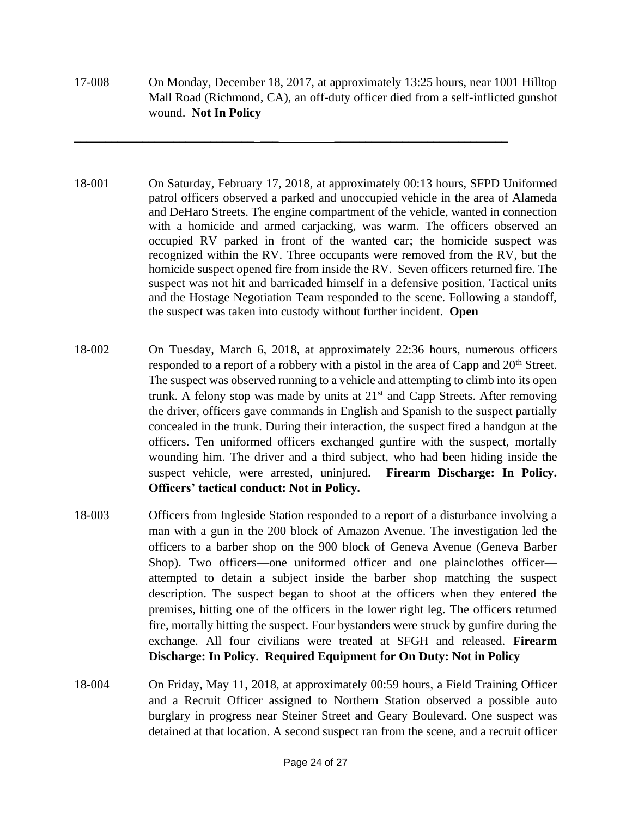17-008 On Monday, December 18, 2017, at approximately 13:25 hours, near 1001 Hilltop Mall Road (Richmond, CA), an off-duty officer died from a self-inflicted gunshot wound. **Not In Policy**

**\_\_\_\_\_\_\_\_\_\_\_\_\_\_\_\_\_\_\_\_\_\_\_\_\_\_\_\_\_ \_\_\_ \_\_\_\_\_\_\_\_\_\_\_\_\_\_\_\_\_\_\_\_\_\_\_\_\_\_\_\_**

- 18-001 On Saturday, February 17, 2018, at approximately 00:13 hours, SFPD Uniformed patrol officers observed a parked and unoccupied vehicle in the area of Alameda and DeHaro Streets. The engine compartment of the vehicle, wanted in connection with a homicide and armed carjacking, was warm. The officers observed an occupied RV parked in front of the wanted car; the homicide suspect was recognized within the RV. Three occupants were removed from the RV, but the homicide suspect opened fire from inside the RV. Seven officers returned fire. The suspect was not hit and barricaded himself in a defensive position. Tactical units and the Hostage Negotiation Team responded to the scene. Following a standoff, the suspect was taken into custody without further incident. **Open**
- 18-002 On Tuesday, March 6, 2018, at approximately 22:36 hours, numerous officers responded to a report of a robbery with a pistol in the area of Capp and 20<sup>th</sup> Street. The suspect was observed running to a vehicle and attempting to climb into its open trunk. A felony stop was made by units at  $21<sup>st</sup>$  and Capp Streets. After removing the driver, officers gave commands in English and Spanish to the suspect partially concealed in the trunk. During their interaction, the suspect fired a handgun at the officers. Ten uniformed officers exchanged gunfire with the suspect, mortally wounding him. The driver and a third subject, who had been hiding inside the suspect vehicle, were arrested, uninjured. **Firearm Discharge: In Policy. Officers' tactical conduct: Not in Policy.**
- 18-003 Officers from Ingleside Station responded to a report of a disturbance involving a man with a gun in the 200 block of Amazon Avenue. The investigation led the officers to a barber shop on the 900 block of Geneva Avenue (Geneva Barber Shop). Two officers—one uniformed officer and one plainclothes officer attempted to detain a subject inside the barber shop matching the suspect description. The suspect began to shoot at the officers when they entered the premises, hitting one of the officers in the lower right leg. The officers returned fire, mortally hitting the suspect. Four bystanders were struck by gunfire during the exchange. All four civilians were treated at SFGH and released. **Firearm Discharge: In Policy. Required Equipment for On Duty: Not in Policy**
- 18-004 On Friday, May 11, 2018, at approximately 00:59 hours, a Field Training Officer and a Recruit Officer assigned to Northern Station observed a possible auto burglary in progress near Steiner Street and Geary Boulevard. One suspect was detained at that location. A second suspect ran from the scene, and a recruit officer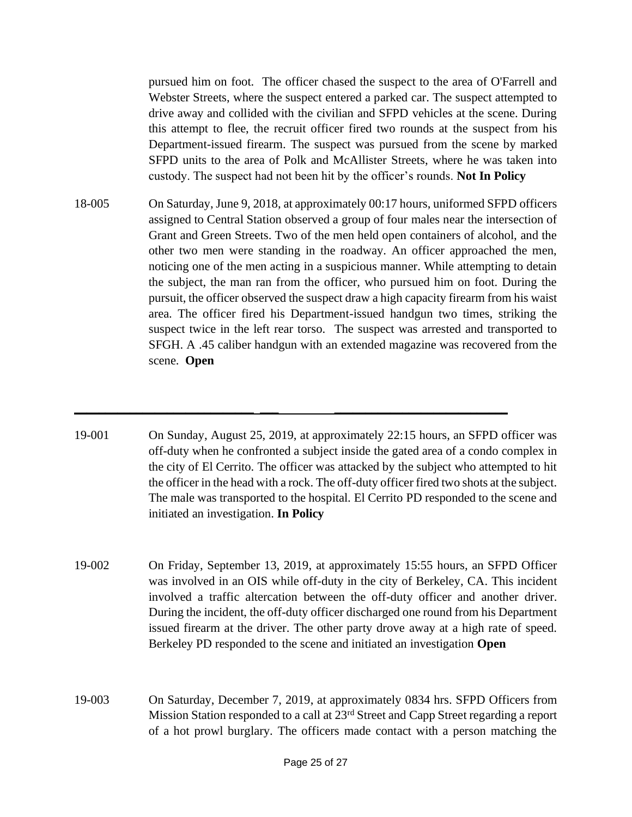pursued him on foot. The officer chased the suspect to the area of O'Farrell and Webster Streets, where the suspect entered a parked car. The suspect attempted to drive away and collided with the civilian and SFPD vehicles at the scene. During this attempt to flee, the recruit officer fired two rounds at the suspect from his Department-issued firearm. The suspect was pursued from the scene by marked SFPD units to the area of Polk and McAllister Streets, where he was taken into custody. The suspect had not been hit by the officer's rounds. **Not In Policy**

- 18-005 On Saturday, June 9, 2018, at approximately 00:17 hours, uniformed SFPD officers assigned to Central Station observed a group of four males near the intersection of Grant and Green Streets. Two of the men held open containers of alcohol, and the other two men were standing in the roadway. An officer approached the men, noticing one of the men acting in a suspicious manner. While attempting to detain the subject, the man ran from the officer, who pursued him on foot. During the pursuit, the officer observed the suspect draw a high capacity firearm from his waist area. The officer fired his Department-issued handgun two times, striking the suspect twice in the left rear torso. The suspect was arrested and transported to SFGH. A .45 caliber handgun with an extended magazine was recovered from the scene. **Open**
- 19-001 On Sunday, August 25, 2019, at approximately 22:15 hours, an SFPD officer was off-duty when he confronted a subject inside the gated area of a condo complex in the city of El Cerrito. The officer was attacked by the subject who attempted to hit the officer in the head with a rock. The off-duty officer fired two shots at the subject. The male was transported to the hospital. El Cerrito PD responded to the scene and initiated an investigation. **In Policy**

**\_\_\_\_\_\_\_\_\_\_\_\_\_\_\_\_\_\_\_\_\_\_\_\_\_\_\_\_\_ \_\_\_ \_\_\_\_\_\_\_\_\_\_\_\_\_\_\_\_\_\_\_\_\_\_\_\_\_\_\_\_**

- 19-002 On Friday, September 13, 2019, at approximately 15:55 hours, an SFPD Officer was involved in an OIS while off-duty in the city of Berkeley, CA. This incident involved a traffic altercation between the off-duty officer and another driver. During the incident, the off-duty officer discharged one round from his Department issued firearm at the driver. The other party drove away at a high rate of speed. Berkeley PD responded to the scene and initiated an investigation **Open**
- 19-003 On Saturday, December 7, 2019, at approximately 0834 hrs. SFPD Officers from Mission Station responded to a call at 23<sup>rd</sup> Street and Capp Street regarding a report of a hot prowl burglary. The officers made contact with a person matching the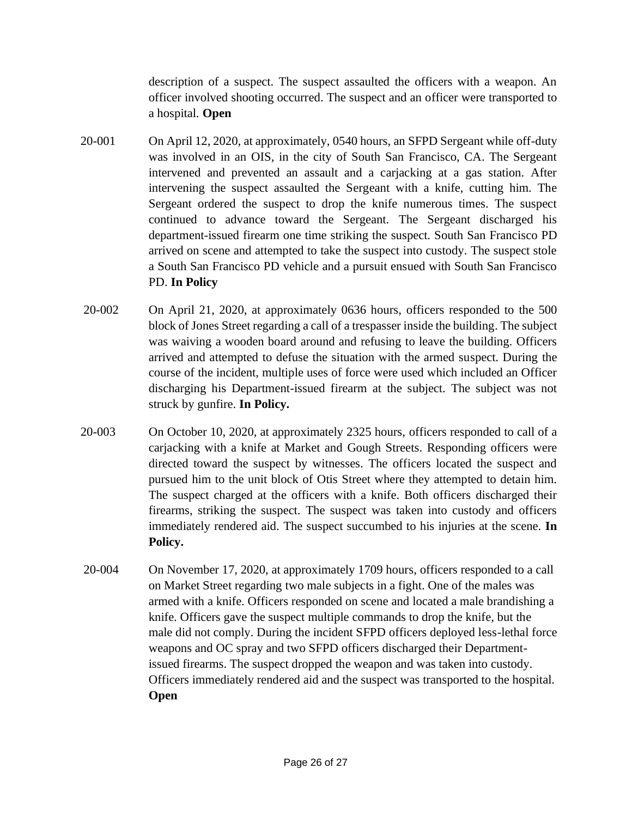description of a suspect. The suspect assaulted the officers with a weapon. An officer involved shooting occurred. The suspect and an officer were transported to a hospital. **Open**

- 20-001 On April 12, 2020, at approximately, 0540 hours, an SFPD Sergeant while off-duty was involved in an OIS, in the city of South San Francisco, CA. The Sergeant intervened and prevented an assault and a carjacking at a gas station. After intervening the suspect assaulted the Sergeant with a knife, cutting him. The Sergeant ordered the suspect to drop the knife numerous times. The suspect continued to advance toward the Sergeant. The Sergeant discharged his department-issued firearm one time striking the suspect. South San Francisco PD arrived on scene and attempted to take the suspect into custody. The suspect stole a South San Francisco PD vehicle and a pursuit ensued with South San Francisco PD. **In Policy**
- 20-002 On April 21, 2020, at approximately 0636 hours, officers responded to the 500 block of Jones Street regarding a call of a trespasser inside the building. The subject was waiving a wooden board around and refusing to leave the building. Officers arrived and attempted to defuse the situation with the armed suspect. During the course of the incident, multiple uses of force were used which included an Officer discharging his Department-issued firearm at the subject. The subject was not struck by gunfire. **In Policy.**
- 20-003 On October 10, 2020, at approximately 2325 hours, officers responded to call of a carjacking with a knife at Market and Gough Streets. Responding officers were directed toward the suspect by witnesses. The officers located the suspect and pursued him to the unit block of Otis Street where they attempted to detain him. The suspect charged at the officers with a knife. Both officers discharged their firearms, striking the suspect. The suspect was taken into custody and officers immediately rendered aid. The suspect succumbed to his injuries at the scene. **In Policy.**
- 20-004 On November 17, 2020, at approximately 1709 hours, officers responded to a call on Market Street regarding two male subjects in a fight. One of the males was armed with a knife. Officers responded on scene and located a male brandishing a knife. Officers gave the suspect multiple commands to drop the knife, but the male did not comply. During the incident SFPD officers deployed less-lethal force weapons and OC spray and two SFPD officers discharged their Departmentissued firearms. The suspect dropped the weapon and was taken into custody. Officers immediately rendered aid and the suspect was transported to the hospital. **Open**